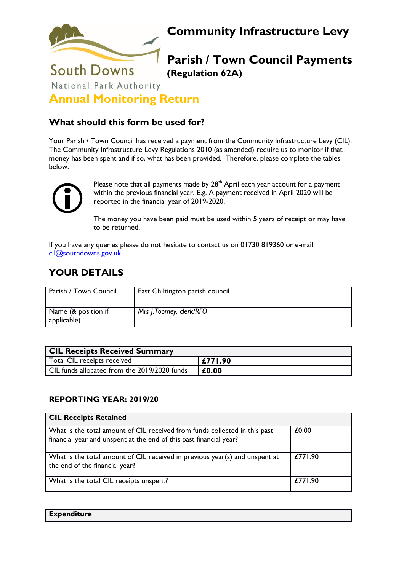

# **Community Infrastructure Levy**

## **Parish / Town Council Payments (Regulation 62A)**

National Park Authority

**Annual Monitoring Return**

#### **What should this form be used for?**

Your Parish / Town Council has received a payment from the Community Infrastructure Levy (CIL). The Community Infrastructure Levy Regulations 2010 (as amended) require us to monitor if that money has been spent and if so, what has been provided. Therefore, please complete the tables below.



Please note that all payments made by  $28<sup>th</sup>$  April each year account for a payment within the previous financial year. E.g. A payment received in April 2020 will be reported in the financial year of 2019-2020.

The money you have been paid must be used within 5 years of receipt or may have to be returned.

If you have any queries please do not hesitate to contact us on 01730 819360 or e-mail [cil@southdowns.gov.uk](mailto:cil@southdowns.gov.uk)

### **YOUR DETAILS**

| Parish / Town Council              | East Chiltington parish council |
|------------------------------------|---------------------------------|
| Name (& position if<br>applicable) | Mrs J.Toomey, clerk/RFO         |

| <b>CIL Receipts Received Summary</b>         |         |
|----------------------------------------------|---------|
| Total CIL receipts received                  | £771.90 |
| CIL funds allocated from the 2019/2020 funds | £0.00   |

#### **REPORTING YEAR: 2019/20**

| <b>CIL Receipts Retained</b>                                                                                                                     |         |
|--------------------------------------------------------------------------------------------------------------------------------------------------|---------|
| What is the total amount of CIL received from funds collected in this past<br>financial year and unspent at the end of this past financial year? | £0.00   |
| What is the total amount of CIL received in previous year(s) and unspent at<br>the end of the financial year?                                    | £771.90 |
| What is the total CIL receipts unspent?                                                                                                          | £771.90 |

| <b>Expenditure</b> |  |  |
|--------------------|--|--|
|                    |  |  |